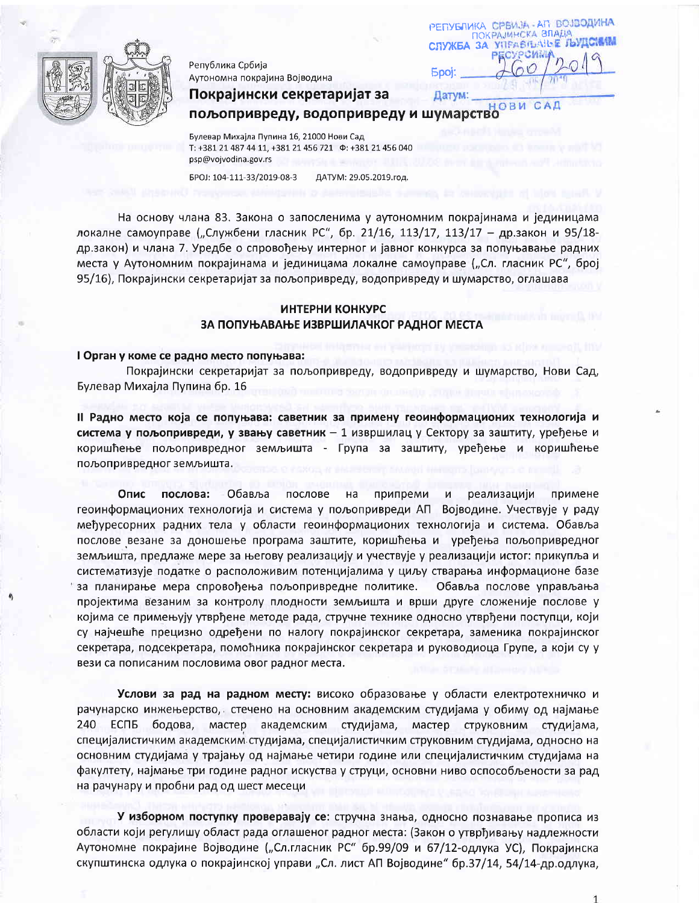

Република Србија Аутономна покрајина Војводина

Покрајински секретаријат за

РЕПУБЛИКА СРБИЈА - АП ВОЈВОДИНА ОКРАЈИНСКА ВЛАДА СПУЖБА ЗА УПРАВЛЬАЊЕ ЉУДС **Spoj:** Датум:

OBM пољопривреду, водопривреду и шумарство

Булевар Михајла Пупина 16, 21000 Нови Сад T: +381 21 487 44 11, +381 21 456 721  $\Phi$ : +381 21 456 040 psp@vojvodina.gov.rs

EPOJ: 104-111-33/2019-08-3 ДАТУМ: 29.05.2019.год.

На основу члана 83. Закона о запосленима у аутономним покрајинама и јединицама локалне самоуправе ("Службени гласник РС", бр. 21/16, 113/17, 113/17 - др.закон и 95/18др.закон) и члана 7. Уредбе о спровођењу интерног и јавног конкурса за попуњавање радних места у Аутономним покрајинама и јединицама локалне самоуправе ("Сл. гласник РС", број 95/16), Покрајински секретаријат за пољопривреду, водопривреду и шумарство, оглашава

# ИНТЕРНИ КОНКУРС ЗА ПОПУЊАВАЊЕ ИЗВРШИЛАЧКОГ РАДНОГ МЕСТА

#### I Орган у коме се радно место попуњава:

Покрајински секретаријат за пољопривреду, водопривреду и шумарство, Нови Сад, Булевар Михајла Пупина бр. 16

II Радно место која се попуњава: саветник за примену геоинформационих технологија и система у пољопривреди, у звању саветник - 1 извршилац у Сектору за заштиту, уређење и коришћење пољопривредног земљишта - Група за заштиту, уређење и коришћење пољопривредног земљишта.

примене Опис послова: Обавља послове на припреми N<sub>1</sub> реализацији геоинформационих технологија и система у пољопривреди АП Војводине. Учествује у раду међуресорних радних тела у области геоинформационих технологија и система. Обавља послове везане за доношење програма заштите, коришћења и уређења пољопривредног земљишта, предлаже мере за његову реализацију и учествује у реализацији истог: прикупља и систематизује податке о расположивим потенцијалима у циљу стварања информационе базе за планирање мера спровођења пољопривредне политике. Обавља послове управљања пројектима везаним за контролу плодности земљишта и врши друге сложеније послове у којима се примењују утврђене методе рада, стручне технике односно утврђени поступци, који су најчешће прецизно одређени по налогу покрајинског секретара, заменика покрајинског секретара, подсекретара, помоћника покрајинског секретара и руководиоца Групе, а који су у вези са пописаним пословима овог радног места.

Услови за рад на радном месту: високо образовање у области електротехничко и рачунарско инжењерство, стечено на основним академским студијама у обиму од најмање 240 ЕСПБ бодова, мастер академским студијама, мастер струковним студијама, специјалистичким академским студијама, специјалистичким струковним студијама, односно на основним студијама у трајању од најмање четири године или специјалистичким студијама на факултету, најмање три године радног искуства у струци, основни ниво оспособљености за рад на рачунару и пробни рад од шест месеци

У изборном поступку проверавају се: стручна знања, односно познавање прописа из области који регулишу област рада оглашеног радног места: (Закон о утврђивању надлежности Аутономне покрајине Војводине ("Сл.гласник РС" бр.99/09 и 67/12-одлука УС), Покрајинска скупштинска одлука о покрајинској управи "Сл. лист АП Војводине" бр.37/14, 54/14-др.одлука,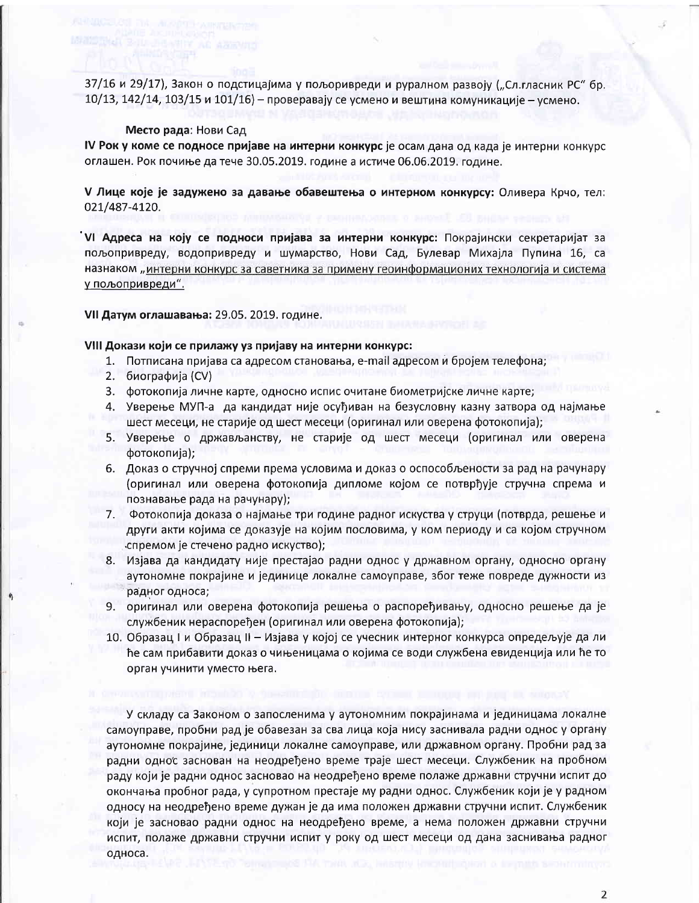37/16 и 29/17), Закон о подстицајима у пољоривреди и руралном развоју ("Сл.гласник РС" бр. 10/13, 142/14, 103/15 и 101/16) - проверавају се усмено и вештина комуникације - усмено.

#### Место рада: Нови Сад

IV Рок у коме се подносе пријаве на интерни конкурс је осам дана од када је интерни конкурс оглашен. Рок почиње да тече 30.05.2019. године а истиче 06.06.2019. године.

V Лице које је задужено за давање обавештења о интерном конкурсу: Оливера Крчо, тел: 021/487-4120.

VI Адреса на коју се подноси пријава за интерни конкурс: Покрајински секретаријат за пољопривреду, водопривреду и шумарство, Нови Сад, Булевар Михајла Пупина 16, са назнаком "интерни конкурс за саветника за примену геоинформационих технологија и система у пољопривреди".

VII Датум оглашавања: 29.05. 2019. године.

## VIII Докази који се прилажу уз пријаву на интерни конкурс:

- 1. Потписана пријава са адресом становања, e-mail адресом и бројем телефона;
- 2. биографија (CV)
- 3. фотокопија личне карте, односно испис очитане биометријске личне карте;
- 4. Уверење МУП-а да кандидат није осуђиван на безусловну казну затвора од најмање шест месеци, не старије од шест месеци (оригинал или оверена фотокопија);
- 5. Уверење о држављанству, не старије од шест месеци (оригинал или оверена фотокопија);
- 6. Доказ о стручној спреми према условима и доказ о оспособљености за рад на рачунару (оригинал или оверена фотокопија дипломе којом се потврђује стручна спрема и познавање рада на рачунару);
- 7. Фотокопија доказа о најмање три године радног искуства у струци (потврда, решење и други акти којима се доказује на којим пословима, у ком периоду и са којом стручном спремом је стечено радно искуство);
- 8. Изјава да кандидату није престајао радни однос у државном органу, односно органу аутономне покрајине и јединице локалне самоуправе, због теже повреде дужности из радног односа;
- 9. оригинал или оверена фотокопија решења о распоређивању, односно решење да је службеник нераспоређен (оригинал или оверена фотокопија);
- 10. Образац I и Образац II Изјава у којој се учесник интерног конкурса опредељује да ли ће сам прибавити доказ о чињеницама о којима се води службена евиденција или ће то орган учинити уместо њега.

У складу са Законом о запосленима у аутономним покрајинама и јединицама локалне самоуправе, пробни рад је обавезан за сва лица која нису заснивала радни однос у органу аутономне покрајине, јединици локалне самоуправе, или државном органу. Пробни рад за радни однос заснован на неодређено време траје шест месеци. Службеник на пробном раду који је радни однос засновао на неодређено време полаже државни стручни испит до окончања пробног рада, у супротном престаје му радни однос. Службеник који је у радном односу на неодређено време дужан је да има положен државни стручни испит. Службеник који је засновао радни однос на неодређено време, а нема положен државни стручни испит, полаже државни стручни испит у року од шест месеци од дана заснивања радног односа.

 $\overline{2}$